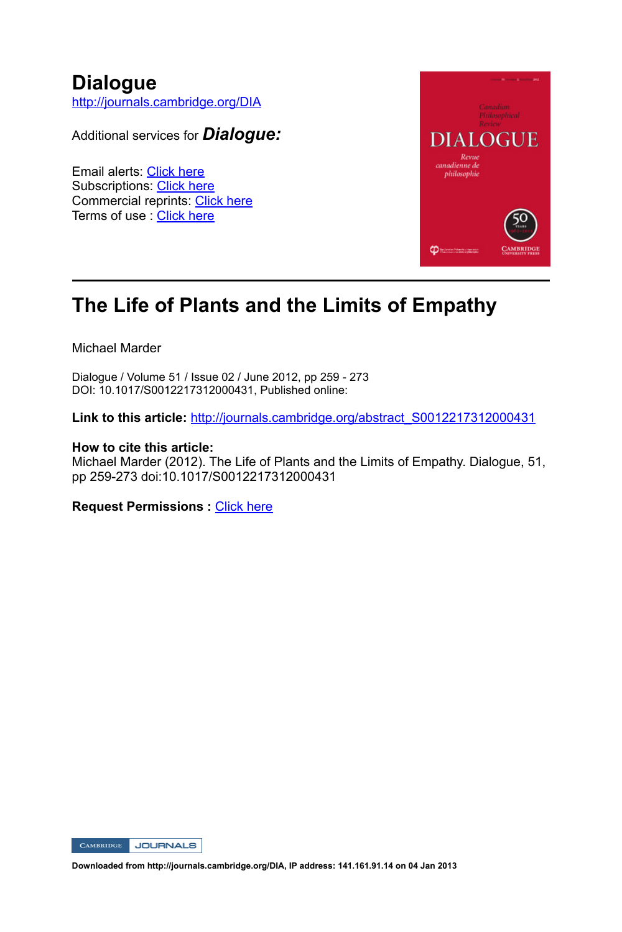# **Dialogue** http://journals.cambridge.org/DIA

Additional services for *Dialogue:*

Email alerts: Click here Subscriptions: Click here Commercial reprints: Click here Terms of use : Click here



# **The Life of Plants and the Limits of Empathy**

Michael Marder

Dialogue / Volume 51 / Issue 02 / June 2012, pp 259 - 273 DOI: 10.1017/S0012217312000431, Published online:

Link to this article: http://journals.cambridge.org/abstract\_S0012217312000431

#### **How to cite this article:**

Michael Marder (2012). The Life of Plants and the Limits of Empathy. Dialogue, 51, pp 259273 doi:10.1017/S0012217312000431

**Request Permissions : Click here** 

CAMBRIDGE JOURNALS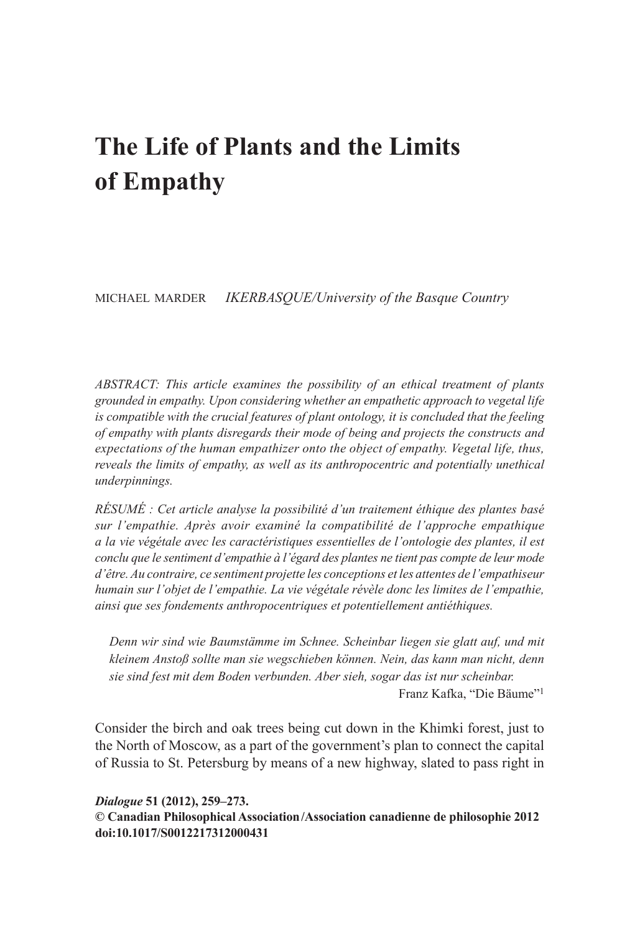# **The Life of Plants and the Limits of Empathy**

MICHAEL MARDER *IKERBASQUE/University of the Basque Country* 

 *ABSTRACT: This article examines the possibility of an ethical treatment of plants grounded in empathy. Upon considering whether an empathetic approach to vegetal life is compatible with the crucial features of plant ontology, it is concluded that the feeling of empathy with plants disregards their mode of being and projects the constructs and expectations of the human empathizer onto the object of empathy. Vegetal life, thus, reveals the limits of empathy, as well as its anthropocentric and potentially unethical underpinnings.* 

 *RÉSUMÉ : Cet article analyse la possibilité d'un traitement éthique des plantes basé sur l'empathie. Après avoir examiné la compatibilité de l'approche empathique a la vie végétale avec les caractéristiques essentielles de l'ontologie des plantes, il est conclu que le sentiment d'empathie à l'égard des plantes ne tient pas compte de leur mode d'être. Au contraire, ce sentiment projette les conceptions et les attentes de l'empathiseur humain sur l'objet de l'empathie. La vie végétale révèle donc les limites de l'empathie, ainsi que ses fondements anthropocentriques et potentiellement antiéthiques.* 

*Denn wir sind wie Baumstämme im Schnee. Scheinbar liegen sie glatt auf, und mit kleinem Anstoß sollte man sie wegschieben können. Nein, das kann man nicht, denn sie sind fest mit dem Boden verbunden. Aber sieh, sogar das ist nur scheinbar.*

Franz Kafka, "Die Bäume" 1

 Consider the birch and oak trees being cut down in the Khimki forest, just to the North of Moscow, as a part of the government's plan to connect the capital of Russia to St. Petersburg by means of a new highway, slated to pass right in

*Dialogue* 51 (2012), 259–273. **© Canadian Philosophical Association /Association canadienne de philosophie 2012 doi:10.1017/S0012217312000431**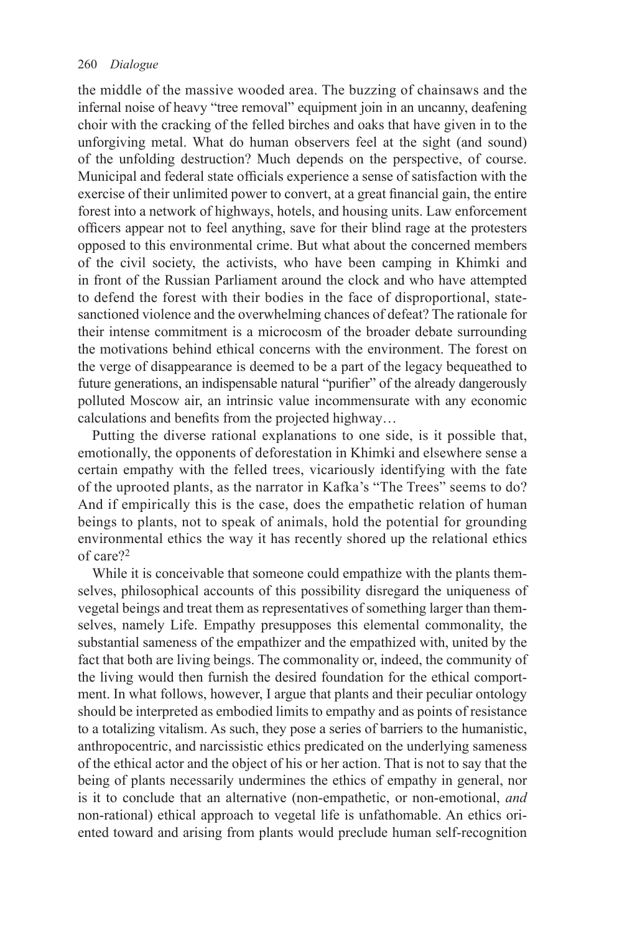the middle of the massive wooded area. The buzzing of chainsaws and the infernal noise of heavy "tree removal" equipment join in an uncanny, deafening choir with the cracking of the felled birches and oaks that have given in to the unforgiving metal. What do human observers feel at the sight (and sound) of the unfolding destruction? Much depends on the perspective, of course. Municipal and federal state officials experience a sense of satisfaction with the exercise of their unlimited power to convert, at a great financial gain, the entire forest into a network of highways, hotels, and housing units. Law enforcement officers appear not to feel anything, save for their blind rage at the protesters opposed to this environmental crime. But what about the concerned members of the civil society, the activists, who have been camping in Khimki and in front of the Russian Parliament around the clock and who have attempted to defend the forest with their bodies in the face of disproportional, statesanctioned violence and the overwhelming chances of defeat? The rationale for their intense commitment is a microcosm of the broader debate surrounding the motivations behind ethical concerns with the environment. The forest on the verge of disappearance is deemed to be a part of the legacy bequeathed to future generations, an indispensable natural "purifier" of the already dangerously polluted Moscow air, an intrinsic value incommensurate with any economic calculations and benefits from the projected highway...

 Putting the diverse rational explanations to one side, is it possible that, emotionally, the opponents of deforestation in Khimki and elsewhere sense a certain empathy with the felled trees, vicariously identifying with the fate of the uprooted plants, as the narrator in Kafka's "The Trees" seems to do? And if empirically this is the case, does the empathetic relation of human beings to plants, not to speak of animals, hold the potential for grounding environmental ethics the way it has recently shored up the relational ethics of care?<sup>2</sup>

 While it is conceivable that someone could empathize with the plants themselves, philosophical accounts of this possibility disregard the uniqueness of vegetal beings and treat them as representatives of something larger than themselves, namely Life. Empathy presupposes this elemental commonality, the substantial sameness of the empathizer and the empathized with, united by the fact that both are living beings. The commonality or, indeed, the community of the living would then furnish the desired foundation for the ethical comportment. In what follows, however, I argue that plants and their peculiar ontology should be interpreted as embodied limits to empathy and as points of resistance to a totalizing vitalism. As such, they pose a series of barriers to the humanistic, anthropocentric, and narcissistic ethics predicated on the underlying sameness of the ethical actor and the object of his or her action. That is not to say that the being of plants necessarily undermines the ethics of empathy in general, nor is it to conclude that an alternative (non-empathetic, or non-emotional, *and* non-rational) ethical approach to vegetal life is unfathomable. An ethics oriented toward and arising from plants would preclude human self-recognition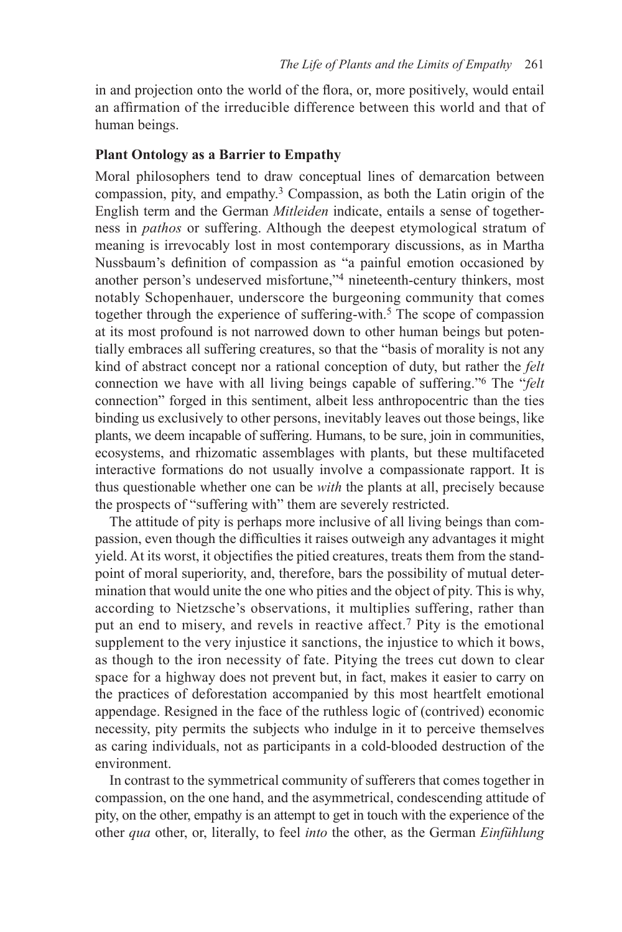in and projection onto the world of the flora, or, more positively, would entail an affirmation of the irreducible difference between this world and that of human beings.

### **Plant Ontology as a Barrier to Empathy**

 Moral philosophers tend to draw conceptual lines of demarcation between compassion, pity, and empathy. 3 Compassion, as both the Latin origin of the English term and the German *Mitleiden* indicate, entails a sense of togetherness in *pathos* or suffering. Although the deepest etymological stratum of meaning is irrevocably lost in most contemporary discussions, as in Martha Nussbaum's definition of compassion as "a painful emotion occasioned by another person's undeserved misfortune,"<sup>4</sup> nineteenth-century thinkers, most notably Schopenhauer, underscore the burgeoning community that comes together through the experience of suffering-with.<sup>5</sup> The scope of compassion at its most profound is not narrowed down to other human beings but potentially embraces all suffering creatures, so that the "basis of morality is not any kind of abstract concept nor a rational conception of duty, but rather the *felt* connection we have with all living beings capable of suffering."<sup>6</sup> The "*felt* connection" forged in this sentiment, albeit less anthropocentric than the ties binding us exclusively to other persons, inevitably leaves out those beings, like plants, we deem incapable of suffering. Humans, to be sure, join in communities, ecosystems, and rhizomatic assemblages with plants, but these multifaceted interactive formations do not usually involve a compassionate rapport. It is thus questionable whether one can be *with* the plants at all, precisely because the prospects of "suffering with" them are severely restricted.

 The attitude of pity is perhaps more inclusive of all living beings than compassion, even though the difficulties it raises outweigh any advantages it might yield. At its worst, it objectifies the pitied creatures, treats them from the standpoint of moral superiority, and, therefore, bars the possibility of mutual determination that would unite the one who pities and the object of pity. This is why, according to Nietzsche's observations, it multiplies suffering, rather than put an end to misery, and revels in reactive affect.<sup>7</sup> Pity is the emotional supplement to the very injustice it sanctions, the injustice to which it bows, as though to the iron necessity of fate. Pitying the trees cut down to clear space for a highway does not prevent but, in fact, makes it easier to carry on the practices of deforestation accompanied by this most heartfelt emotional appendage. Resigned in the face of the ruthless logic of (contrived) economic necessity, pity permits the subjects who indulge in it to perceive themselves as caring individuals, not as participants in a cold-blooded destruction of the environment.

 In contrast to the symmetrical community of sufferers that comes together in compassion, on the one hand, and the asymmetrical, condescending attitude of pity, on the other, empathy is an attempt to get in touch with the experience of the other *qua* other, or, literally, to feel *into* the other, as the German *Einfühlung*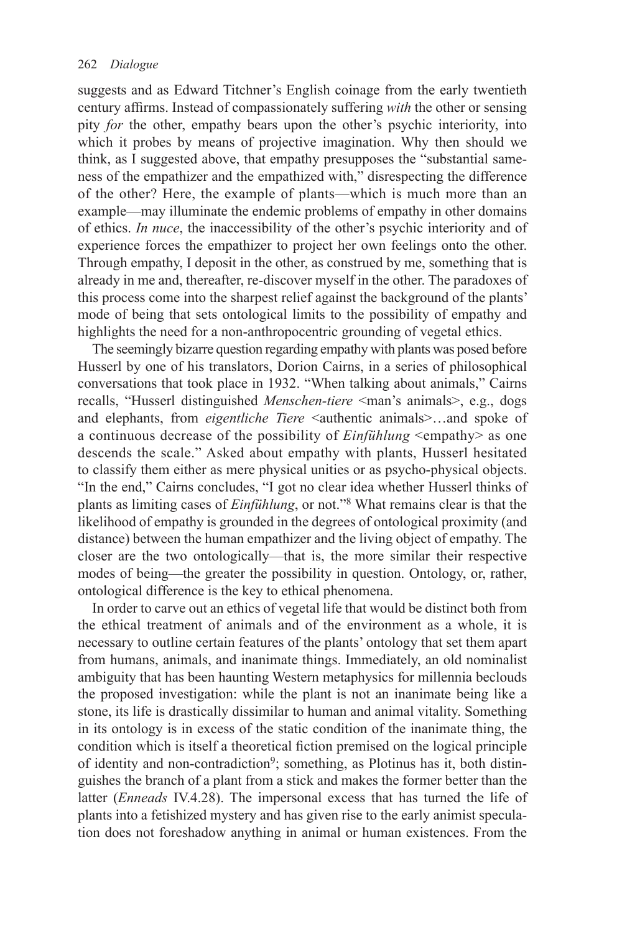suggests and as Edward Titchner's English coinage from the early twentieth century affirms. Instead of compassionately suffering *with* the other or sensing pity *for* the other, empathy bears upon the other's psychic interiority, into which it probes by means of projective imagination. Why then should we think, as I suggested above, that empathy presupposes the "substantial sameness of the empathizer and the empathized with," disrespecting the difference of the other? Here, the example of plants—which is much more than an example—may illuminate the endemic problems of empathy in other domains of ethics. *In nuce* , the inaccessibility of the other's psychic interiority and of experience forces the empathizer to project her own feelings onto the other. Through empathy, I deposit in the other, as construed by me, something that is already in me and, thereafter, re-discover myself in the other. The paradoxes of this process come into the sharpest relief against the background of the plants' mode of being that sets ontological limits to the possibility of empathy and highlights the need for a non-anthropocentric grounding of vegetal ethics.

 The seemingly bizarre question regarding empathy with plants was posed before Husserl by one of his translators, Dorion Cairns, in a series of philosophical conversations that took place in 1932. "When talking about animals," Cairns recalls, "Husserl distinguished *Menschen-tiere* <man's animals>, e.g., dogs and elephants, from *eigentliche Tiere* <authentic animals>...and spoke of a continuous decrease of the possibility of *Einfühlung* <empathy> as one descends the scale." Asked about empathy with plants, Husserl hesitated to classify them either as mere physical unities or as psycho-physical objects. "In the end," Cairns concludes, "I got no clear idea whether Husserl thinks of plants as limiting cases of *Einfühlung*, or not."<sup>8</sup> What remains clear is that the likelihood of empathy is grounded in the degrees of ontological proximity (and distance) between the human empathizer and the living object of empathy. The closer are the two ontologically—that is, the more similar their respective modes of being—the greater the possibility in question. Ontology, or, rather, ontological difference is the key to ethical phenomena.

 In order to carve out an ethics of vegetal life that would be distinct both from the ethical treatment of animals and of the environment as a whole, it is necessary to outline certain features of the plants' ontology that set them apart from humans, animals, and inanimate things. Immediately, an old nominalist ambiguity that has been haunting Western metaphysics for millennia beclouds the proposed investigation: while the plant is not an inanimate being like a stone, its life is drastically dissimilar to human and animal vitality. Something in its ontology is in excess of the static condition of the inanimate thing, the condition which is itself a theoretical fiction premised on the logical principle of identity and non-contradiction<sup>9</sup>; something, as Plotinus has it, both distinguishes the branch of a plant from a stick and makes the former better than the latter (*Enneads* IV.4.28). The impersonal excess that has turned the life of plants into a fetishized mystery and has given rise to the early animist speculation does not foreshadow anything in animal or human existences. From the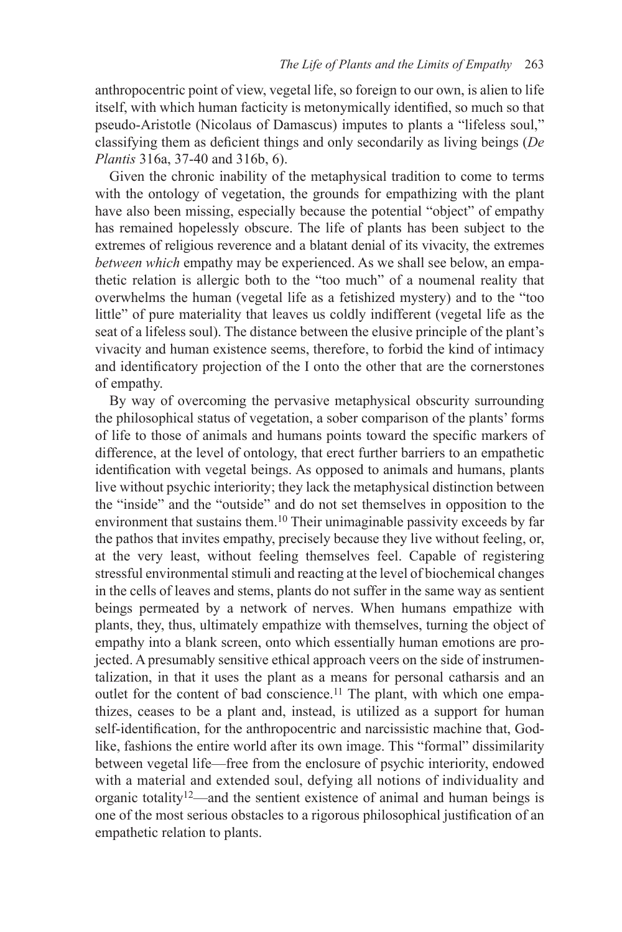anthropocentric point of view, vegetal life, so foreign to our own, is alien to life itself, with which human facticity is metonymically identified, so much so that pseudo-Aristotle (Nicolaus of Damascus) imputes to plants a "lifeless soul," classifying them as deficient things and only secondarily as living beings (*De Plantis* 316a, 37-40 and 316b, 6).

 Given the chronic inability of the metaphysical tradition to come to terms with the ontology of vegetation, the grounds for empathizing with the plant have also been missing, especially because the potential "object" of empathy has remained hopelessly obscure. The life of plants has been subject to the extremes of religious reverence and a blatant denial of its vivacity, the extremes *between which* empathy may be experienced. As we shall see below, an empathetic relation is allergic both to the "too much" of a noumenal reality that overwhelms the human (vegetal life as a fetishized mystery) and to the "too little" of pure materiality that leaves us coldly indifferent (vegetal life as the seat of a lifeless soul). The distance between the elusive principle of the plant's vivacity and human existence seems, therefore, to forbid the kind of intimacy and identificatory projection of the I onto the other that are the cornerstones of empathy.

 By way of overcoming the pervasive metaphysical obscurity surrounding the philosophical status of vegetation, a sober comparison of the plants' forms of life to those of animals and humans points toward the specific markers of difference, at the level of ontology, that erect further barriers to an empathetic identification with vegetal beings. As opposed to animals and humans, plants live without psychic interiority; they lack the metaphysical distinction between the "inside" and the "outside" and do not set themselves in opposition to the environment that sustains them.<sup>10</sup> Their unimaginable passivity exceeds by far the pathos that invites empathy, precisely because they live without feeling, or, at the very least, without feeling themselves feel. Capable of registering stressful environmental stimuli and reacting at the level of biochemical changes in the cells of leaves and stems, plants do not suffer in the same way as sentient beings permeated by a network of nerves. When humans empathize with plants, they, thus, ultimately empathize with themselves, turning the object of empathy into a blank screen, onto which essentially human emotions are projected. A presumably sensitive ethical approach veers on the side of instrumentalization, in that it uses the plant as a means for personal catharsis and an outlet for the content of bad conscience.<sup>11</sup> The plant, with which one empathizes, ceases to be a plant and, instead, is utilized as a support for human self-identification, for the anthropocentric and narcissistic machine that, Godlike, fashions the entire world after its own image. This "formal" dissimilarity between vegetal life—free from the enclosure of psychic interiority, endowed with a material and extended soul, defying all notions of individuality and organic totality  $\frac{12}{2}$  and the sentient existence of animal and human beings is one of the most serious obstacles to a rigorous philosophical justification of an empathetic relation to plants.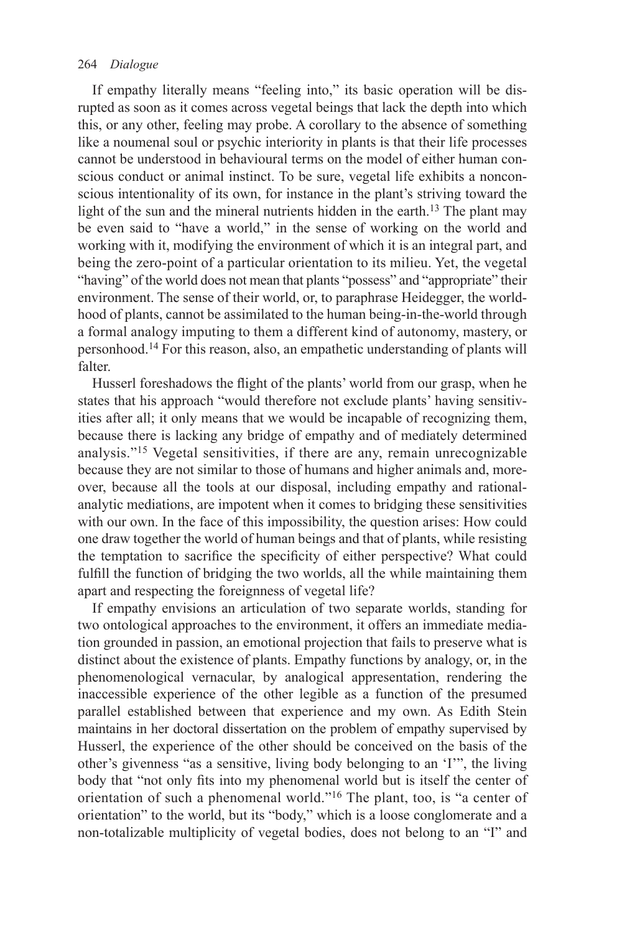#### 264 *Dialogue*

If empathy literally means "feeling into," its basic operation will be disrupted as soon as it comes across vegetal beings that lack the depth into which this, or any other, feeling may probe. A corollary to the absence of something like a noumenal soul or psychic interiority in plants is that their life processes cannot be understood in behavioural terms on the model of either human conscious conduct or animal instinct. To be sure, vegetal life exhibits a nonconscious intentionality of its own, for instance in the plant's striving toward the light of the sun and the mineral nutrients hidden in the earth.<sup>13</sup> The plant may be even said to "have a world," in the sense of working on the world and working with it, modifying the environment of which it is an integral part, and being the zero-point of a particular orientation to its milieu. Yet, the vegetal "having" of the world does not mean that plants "possess" and "appropriate" their environment. The sense of their world, or, to paraphrase Heidegger, the worldhood of plants, cannot be assimilated to the human being-in-the-world through a formal analogy imputing to them a different kind of autonomy, mastery, or personhood. 14 For this reason, also, an empathetic understanding of plants will falter.

Husserl foreshadows the flight of the plants' world from our grasp, when he states that his approach "would therefore not exclude plants' having sensitivities after all; it only means that we would be incapable of recognizing them, because there is lacking any bridge of empathy and of mediately determined analysis." 15 Vegetal sensitivities, if there are any, remain unrecognizable because they are not similar to those of humans and higher animals and, moreover, because all the tools at our disposal, including empathy and rationalanalytic mediations, are impotent when it comes to bridging these sensitivities with our own. In the face of this impossibility, the question arises: How could one draw together the world of human beings and that of plants, while resisting the temptation to sacrifice the specificity of either perspective? What could fulfill the function of bridging the two worlds, all the while maintaining them apart and respecting the foreignness of vegetal life?

 If empathy envisions an articulation of two separate worlds, standing for two ontological approaches to the environment, it offers an immediate mediation grounded in passion, an emotional projection that fails to preserve what is distinct about the existence of plants. Empathy functions by analogy, or, in the phenomenological vernacular, by analogical appresentation, rendering the inaccessible experience of the other legible as a function of the presumed parallel established between that experience and my own. As Edith Stein maintains in her doctoral dissertation on the problem of empathy supervised by Husserl, the experience of the other should be conceived on the basis of the other's givenness "as a sensitive, living body belonging to an 'I'", the living body that "not only fits into my phenomenal world but is itself the center of orientation of such a phenomenal world." 16 The plant, too, is "a center of orientation" to the world, but its "body," which is a loose conglomerate and a non-totalizable multiplicity of vegetal bodies, does not belong to an "I" and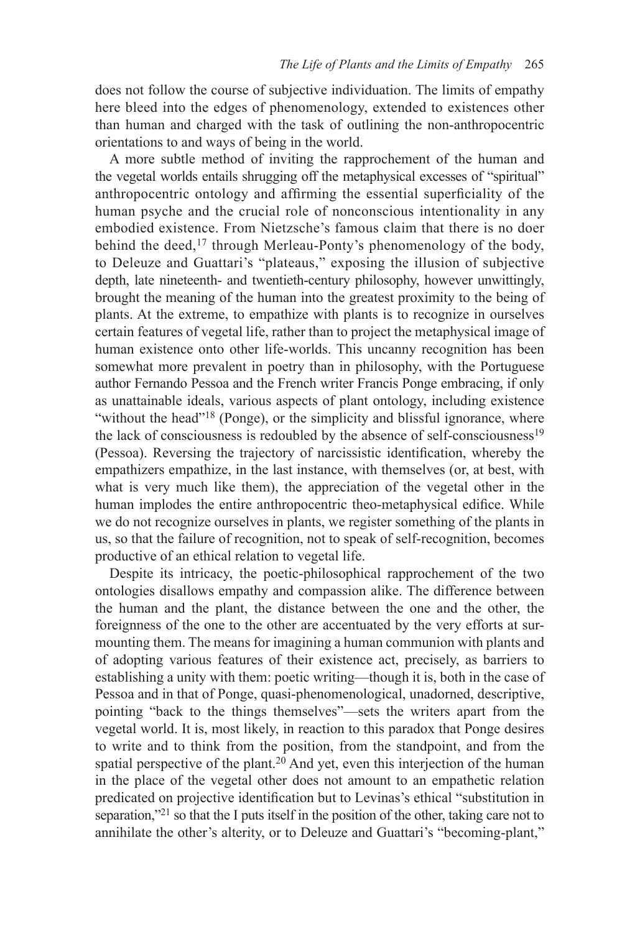does not follow the course of subjective individuation. The limits of empathy here bleed into the edges of phenomenology, extended to existences other than human and charged with the task of outlining the non-anthropocentric orientations to and ways of being in the world.

 A more subtle method of inviting the rapprochement of the human and the vegetal worlds entails shrugging off the metaphysical excesses of "spiritual" anthropocentric ontology and affirming the essential superficiality of the human psyche and the crucial role of nonconscious intentionality in any embodied existence. From Nietzsche's famous claim that there is no doer behind the deed,<sup>17</sup> through Merleau-Ponty's phenomenology of the body, to Deleuze and Guattari's "plateaus," exposing the illusion of subjective depth, late nineteenth- and twentieth-century philosophy, however unwittingly, brought the meaning of the human into the greatest proximity to the being of plants. At the extreme, to empathize with plants is to recognize in ourselves certain features of vegetal life, rather than to project the metaphysical image of human existence onto other life-worlds. This uncanny recognition has been somewhat more prevalent in poetry than in philosophy, with the Portuguese author Fernando Pessoa and the French writer Francis Ponge embracing, if only as unattainable ideals, various aspects of plant ontology, including existence "without the head"<sup> $18$ </sup> (Ponge), or the simplicity and blissful ignorance, where the lack of consciousness is redoubled by the absence of self-consciousness<sup>19</sup> (Pessoa). Reversing the trajectory of narcissistic identification, whereby the empathizers empathize, in the last instance, with themselves (or, at best, with what is very much like them), the appreciation of the vegetal other in the human implodes the entire anthropocentric theo-metaphysical edifice. While we do not recognize ourselves in plants, we register something of the plants in us, so that the failure of recognition, not to speak of self-recognition, becomes productive of an ethical relation to vegetal life.

 Despite its intricacy, the poetic-philosophical rapprochement of the two ontologies disallows empathy and compassion alike. The difference between the human and the plant, the distance between the one and the other, the foreignness of the one to the other are accentuated by the very efforts at surmounting them. The means for imagining a human communion with plants and of adopting various features of their existence act, precisely, as barriers to establishing a unity with them: poetic writing—though it is, both in the case of Pessoa and in that of Ponge, quasi-phenomenological, unadorned, descriptive, pointing "back to the things themselves"—sets the writers apart from the vegetal world. It is, most likely, in reaction to this paradox that Ponge desires to write and to think from the position, from the standpoint, and from the spatial perspective of the plant.<sup>20</sup> And yet, even this interjection of the human in the place of the vegetal other does not amount to an empathetic relation predicated on projective identification but to Levinas's ethical "substitution in separation,"<sup>21</sup> so that the I puts itself in the position of the other, taking care not to annihilate the other's alterity, or to Deleuze and Guattari's "becoming-plant,"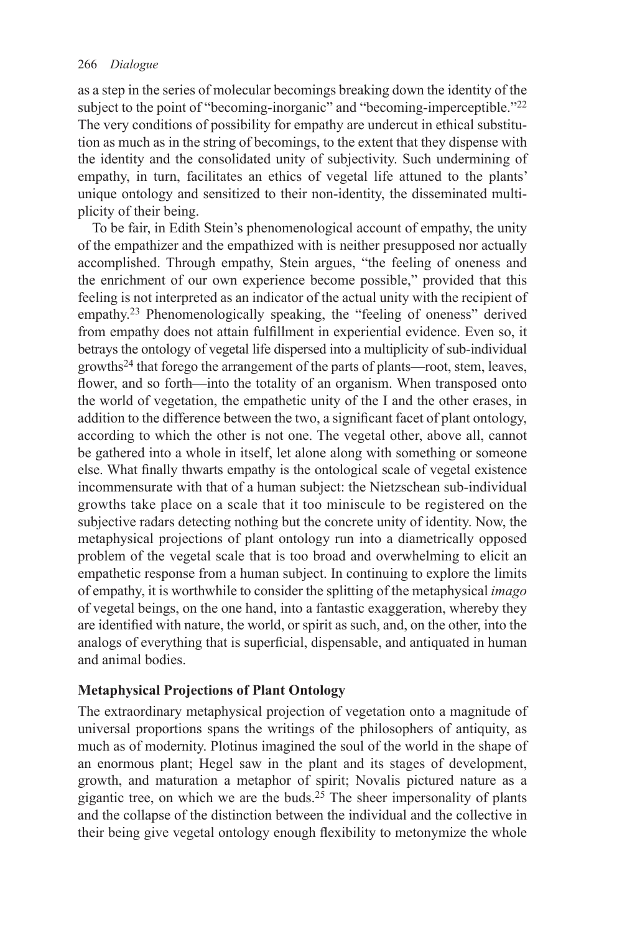as a step in the series of molecular becomings breaking down the identity of the subject to the point of "becoming-inorganic" and "becoming-imperceptible."<sup>22</sup> The very conditions of possibility for empathy are undercut in ethical substitution as much as in the string of becomings, to the extent that they dispense with the identity and the consolidated unity of subjectivity. Such undermining of empathy, in turn, facilitates an ethics of vegetal life attuned to the plants' unique ontology and sensitized to their non-identity, the disseminated multiplicity of their being.

 To be fair, in Edith Stein's phenomenological account of empathy, the unity of the empathizer and the empathized with is neither presupposed nor actually accomplished. Through empathy, Stein argues, "the feeling of oneness and the enrichment of our own experience become possible," provided that this feeling is not interpreted as an indicator of the actual unity with the recipient of empathy.<sup>23</sup> Phenomenologically speaking, the "feeling of oneness" derived from empathy does not attain fulfillment in experiential evidence. Even so, it betrays the ontology of vegetal life dispersed into a multiplicity of sub-individual growths 24 that forego the arrangement of the parts of plants—root, stem, leaves, flower, and so forth—into the totality of an organism. When transposed onto the world of vegetation, the empathetic unity of the I and the other erases, in addition to the difference between the two, a significant facet of plant ontology, according to which the other is not one. The vegetal other, above all, cannot be gathered into a whole in itself, let alone along with something or someone else. What finally thwarts empathy is the ontological scale of vegetal existence incommensurate with that of a human subject: the Nietzschean sub-individual growths take place on a scale that it too miniscule to be registered on the subjective radars detecting nothing but the concrete unity of identity. Now, the metaphysical projections of plant ontology run into a diametrically opposed problem of the vegetal scale that is too broad and overwhelming to elicit an empathetic response from a human subject. In continuing to explore the limits of empathy, it is worthwhile to consider the splitting of the metaphysical *imago* of vegetal beings, on the one hand, into a fantastic exaggeration, whereby they are identified with nature, the world, or spirit as such, and, on the other, into the analogs of everything that is superficial, dispensable, and antiquated in human and animal bodies.

## **Metaphysical Projections of Plant Ontology**

 The extraordinary metaphysical projection of vegetation onto a magnitude of universal proportions spans the writings of the philosophers of antiquity, as much as of modernity. Plotinus imagined the soul of the world in the shape of an enormous plant; Hegel saw in the plant and its stages of development, growth, and maturation a metaphor of spirit; Novalis pictured nature as a gigantic tree, on which we are the buds.<sup>25</sup> The sheer impersonality of plants and the collapse of the distinction between the individual and the collective in their being give vegetal ontology enough flexibility to metonymize the whole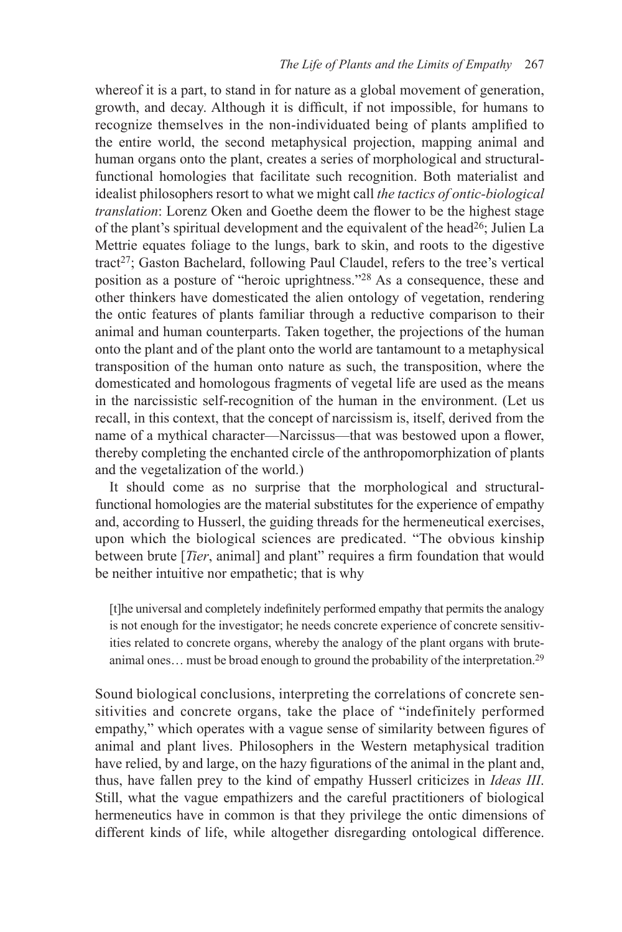whereof it is a part, to stand in for nature as a global movement of generation, growth, and decay. Although it is difficult, if not impossible, for humans to recognize themselves in the non-individuated being of plants amplified to the entire world, the second metaphysical projection, mapping animal and human organs onto the plant, creates a series of morphological and structuralfunctional homologies that facilitate such recognition. Both materialist and idealist philosophers resort to what we might call *the tactics of ontic-biological translation*: Lorenz Oken and Goethe deem the flower to be the highest stage of the plant's spiritual development and the equivalent of the head<sup>26</sup>; Julien La Mettrie equates foliage to the lungs, bark to skin, and roots to the digestive tract<sup>27</sup>; Gaston Bachelard, following Paul Claudel, refers to the tree's vertical position as a posture of "heroic uprightness."<sup>28</sup> As a consequence, these and other thinkers have domesticated the alien ontology of vegetation, rendering the ontic features of plants familiar through a reductive comparison to their animal and human counterparts. Taken together, the projections of the human onto the plant and of the plant onto the world are tantamount to a metaphysical transposition of the human onto nature as such, the transposition, where the domesticated and homologous fragments of vegetal life are used as the means in the narcissistic self-recognition of the human in the environment. (Let us recall, in this context, that the concept of narcissism is, itself, derived from the name of a mythical character—Narcissus—that was bestowed upon a flower, thereby completing the enchanted circle of the anthropomorphization of plants and the vegetalization of the world.)

 It should come as no surprise that the morphological and structuralfunctional homologies are the material substitutes for the experience of empathy and, according to Husserl, the guiding threads for the hermeneutical exercises, upon which the biological sciences are predicated. "The obvious kinship between brute [*Tier*, animal] and plant" requires a firm foundation that would be neither intuitive nor empathetic; that is why

[t]he universal and completely indefinitely performed empathy that permits the analogy is not enough for the investigator; he needs concrete experience of concrete sensitivities related to concrete organs, whereby the analogy of the plant organs with bruteanimal ones… must be broad enough to ground the probability of the interpretation. 29

 Sound biological conclusions, interpreting the correlations of concrete sensitivities and concrete organs, take the place of "indefinitely performed empathy," which operates with a vague sense of similarity between figures of animal and plant lives. Philosophers in the Western metaphysical tradition have relied, by and large, on the hazy figurations of the animal in the plant and, thus, have fallen prey to the kind of empathy Husserl criticizes in *Ideas III* . Still, what the vague empathizers and the careful practitioners of biological hermeneutics have in common is that they privilege the ontic dimensions of different kinds of life, while altogether disregarding ontological difference.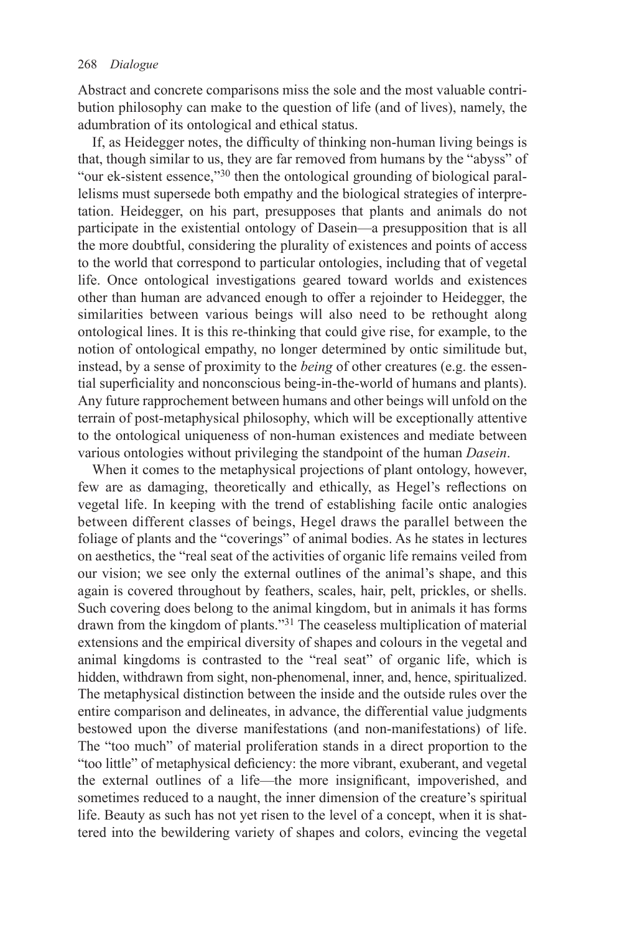Abstract and concrete comparisons miss the sole and the most valuable contribution philosophy can make to the question of life (and of lives), namely, the adumbration of its ontological and ethical status.

If, as Heidegger notes, the difficulty of thinking non-human living beings is that, though similar to us, they are far removed from humans by the "abyss" of "our ek-sistent essence,"<sup>30</sup> then the ontological grounding of biological parallelisms must supersede both empathy and the biological strategies of interpretation. Heidegger, on his part, presupposes that plants and animals do not participate in the existential ontology of Dasein—a presupposition that is all the more doubtful, considering the plurality of existences and points of access to the world that correspond to particular ontologies, including that of vegetal life. Once ontological investigations geared toward worlds and existences other than human are advanced enough to offer a rejoinder to Heidegger, the similarities between various beings will also need to be rethought along ontological lines. It is this re-thinking that could give rise, for example, to the notion of ontological empathy, no longer determined by ontic similitude but, instead, by a sense of proximity to the *being* of other creatures (e.g. the essential superficiality and nonconscious being-in-the-world of humans and plants). Any future rapprochement between humans and other beings will unfold on the terrain of post-metaphysical philosophy, which will be exceptionally attentive to the ontological uniqueness of non-human existences and mediate between various ontologies without privileging the standpoint of the human *Dasein* .

 When it comes to the metaphysical projections of plant ontology, however, few are as damaging, theoretically and ethically, as Hegel's reflections on vegetal life. In keeping with the trend of establishing facile ontic analogies between different classes of beings, Hegel draws the parallel between the foliage of plants and the "coverings" of animal bodies. As he states in lectures on aesthetics, the "real seat of the activities of organic life remains veiled from our vision; we see only the external outlines of the animal's shape, and this again is covered throughout by feathers, scales, hair, pelt, prickles, or shells. Such covering does belong to the animal kingdom, but in animals it has forms drawn from the kingdom of plants."<sup>31</sup> The ceaseless multiplication of material extensions and the empirical diversity of shapes and colours in the vegetal and animal kingdoms is contrasted to the "real seat" of organic life, which is hidden, withdrawn from sight, non-phenomenal, inner, and, hence, spiritualized. The metaphysical distinction between the inside and the outside rules over the entire comparison and delineates, in advance, the differential value judgments bestowed upon the diverse manifestations (and non-manifestations) of life. The "too much" of material proliferation stands in a direct proportion to the "too little" of metaphysical deficiency: the more vibrant, exuberant, and vegetal the external outlines of a life—the more insignificant, impoverished, and sometimes reduced to a naught, the inner dimension of the creature's spiritual life. Beauty as such has not yet risen to the level of a concept, when it is shattered into the bewildering variety of shapes and colors, evincing the vegetal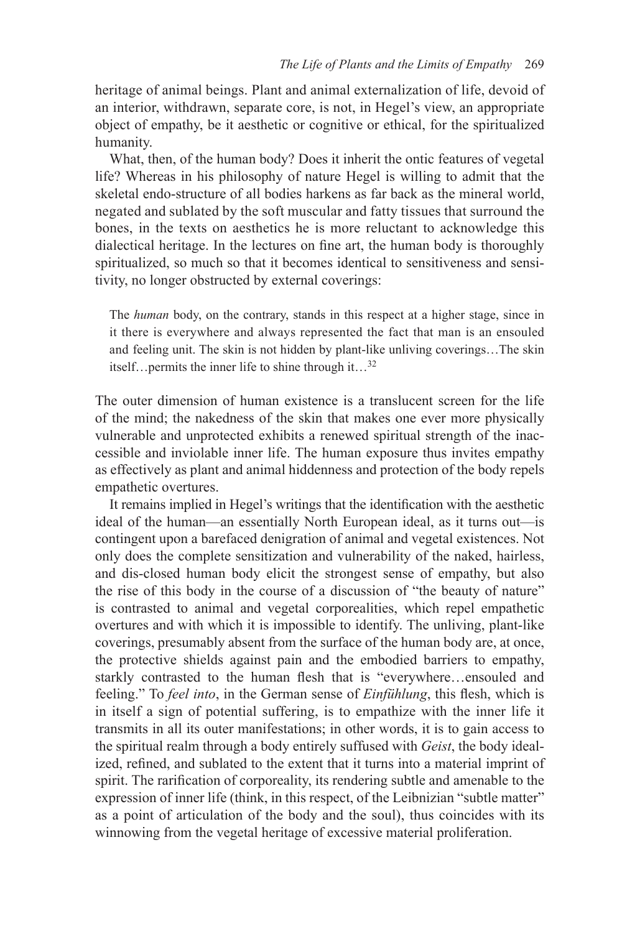heritage of animal beings. Plant and animal externalization of life, devoid of an interior, withdrawn, separate core, is not, in Hegel's view, an appropriate object of empathy, be it aesthetic or cognitive or ethical, for the spiritualized humanity.

 What, then, of the human body? Does it inherit the ontic features of vegetal life? Whereas in his philosophy of nature Hegel is willing to admit that the skeletal endo-structure of all bodies harkens as far back as the mineral world, negated and sublated by the soft muscular and fatty tissues that surround the bones, in the texts on aesthetics he is more reluctant to acknowledge this dialectical heritage. In the lectures on fine art, the human body is thoroughly spiritualized, so much so that it becomes identical to sensitiveness and sensitivity, no longer obstructed by external coverings:

 The *human* body, on the contrary, stands in this respect at a higher stage, since in it there is everywhere and always represented the fact that man is an ensouled and feeling unit. The skin is not hidden by plant-like unliving coverings…The skin itself…permits the inner life to shine through it… 32

 The outer dimension of human existence is a translucent screen for the life of the mind; the nakedness of the skin that makes one ever more physically vulnerable and unprotected exhibits a renewed spiritual strength of the inaccessible and inviolable inner life. The human exposure thus invites empathy as effectively as plant and animal hiddenness and protection of the body repels empathetic overtures.

It remains implied in Hegel's writings that the identification with the aesthetic ideal of the human—an essentially North European ideal, as it turns out—is contingent upon a barefaced denigration of animal and vegetal existences. Not only does the complete sensitization and vulnerability of the naked, hairless, and dis-closed human body elicit the strongest sense of empathy, but also the rise of this body in the course of a discussion of "the beauty of nature" is contrasted to animal and vegetal corporealities, which repel empathetic overtures and with which it is impossible to identify. The unliving, plant-like coverings, presumably absent from the surface of the human body are, at once, the protective shields against pain and the embodied barriers to empathy, starkly contrasted to the human flesh that is "everywhere...ensouled and feeling." To *feel into*, in the German sense of *Einfühlung*, this flesh, which is in itself a sign of potential suffering, is to empathize with the inner life it transmits in all its outer manifestations; in other words, it is to gain access to the spiritual realm through a body entirely suffused with *Geist* , the body idealized, refined, and sublated to the extent that it turns into a material imprint of spirit. The rarification of corporeality, its rendering subtle and amenable to the expression of inner life (think, in this respect, of the Leibnizian "subtle matter" as a point of articulation of the body and the soul), thus coincides with its winnowing from the vegetal heritage of excessive material proliferation.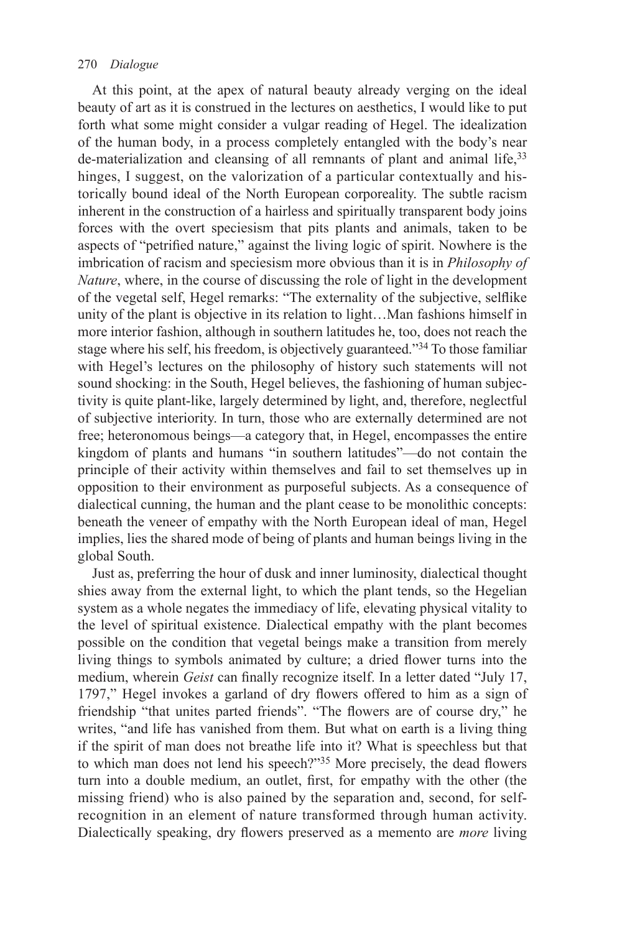#### 270 *Dialogue*

 At this point, at the apex of natural beauty already verging on the ideal beauty of art as it is construed in the lectures on aesthetics, I would like to put forth what some might consider a vulgar reading of Hegel. The idealization of the human body, in a process completely entangled with the body's near de-materialization and cleansing of all remnants of plant and animal life, 33 hinges, I suggest, on the valorization of a particular contextually and historically bound ideal of the North European corporeality. The subtle racism inherent in the construction of a hairless and spiritually transparent body joins forces with the overt speciesism that pits plants and animals, taken to be aspects of "petrified nature," against the living logic of spirit. Nowhere is the imbrication of racism and speciesism more obvious than it is in *Philosophy of Nature* , where, in the course of discussing the role of light in the development of the vegetal self, Hegel remarks: "The externality of the subjective, selflike unity of the plant is objective in its relation to light…Man fashions himself in more interior fashion, although in southern latitudes he, too, does not reach the stage where his self, his freedom, is objectively guaranteed."<sup>34</sup> To those familiar with Hegel's lectures on the philosophy of history such statements will not sound shocking: in the South, Hegel believes, the fashioning of human subjectivity is quite plant-like, largely determined by light, and, therefore, neglectful of subjective interiority. In turn, those who are externally determined are not free; heteronomous beings—a category that, in Hegel, encompasses the entire kingdom of plants and humans "in southern latitudes"—do not contain the principle of their activity within themselves and fail to set themselves up in opposition to their environment as purposeful subjects. As a consequence of dialectical cunning, the human and the plant cease to be monolithic concepts: beneath the veneer of empathy with the North European ideal of man, Hegel implies, lies the shared mode of being of plants and human beings living in the global South.

 Just as, preferring the hour of dusk and inner luminosity, dialectical thought shies away from the external light, to which the plant tends, so the Hegelian system as a whole negates the immediacy of life, elevating physical vitality to the level of spiritual existence. Dialectical empathy with the plant becomes possible on the condition that vegetal beings make a transition from merely living things to symbols animated by culture; a dried flower turns into the medium, wherein *Geist* can finally recognize itself. In a letter dated "July 17, 1797," Hegel invokes a garland of dry flowers offered to him as a sign of friendship "that unites parted friends". "The flowers are of course dry," he writes, "and life has vanished from them. But what on earth is a living thing if the spirit of man does not breathe life into it? What is speechless but that to which man does not lend his speech?"<sup>35</sup> More precisely, the dead flowers turn into a double medium, an outlet, first, for empathy with the other (the missing friend) who is also pained by the separation and, second, for selfrecognition in an element of nature transformed through human activity. Dialectically speaking, dry flowers preserved as a memento are *more* living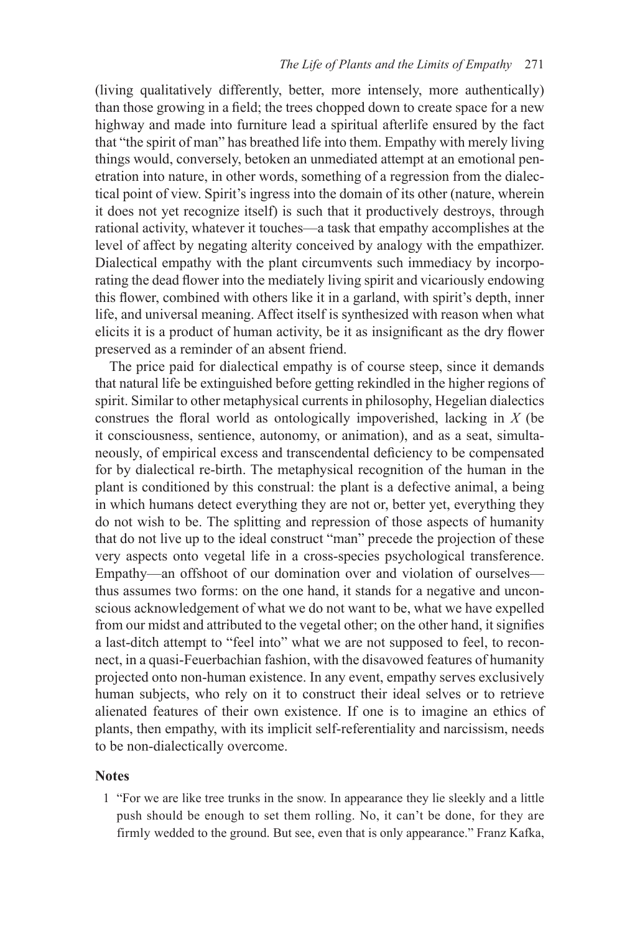(living qualitatively differently, better, more intensely, more authentically) than those growing in a field; the trees chopped down to create space for a new highway and made into furniture lead a spiritual afterlife ensured by the fact that "the spirit of man" has breathed life into them. Empathy with merely living things would, conversely, betoken an unmediated attempt at an emotional penetration into nature, in other words, something of a regression from the dialectical point of view. Spirit's ingress into the domain of its other (nature, wherein it does not yet recognize itself) is such that it productively destroys, through rational activity, whatever it touches—a task that empathy accomplishes at the level of affect by negating alterity conceived by analogy with the empathizer. Dialectical empathy with the plant circumvents such immediacy by incorporating the dead flower into the mediately living spirit and vicariously endowing this flower, combined with others like it in a garland, with spirit's depth, inner life, and universal meaning. Affect itself is synthesized with reason when what elicits it is a product of human activity, be it as insignificant as the dry flower preserved as a reminder of an absent friend.

 The price paid for dialectical empathy is of course steep, since it demands that natural life be extinguished before getting rekindled in the higher regions of spirit. Similar to other metaphysical currents in philosophy, Hegelian dialectics construes the floral world as ontologically impoverished, lacking in  $X$  (be it consciousness, sentience, autonomy, or animation), and as a seat, simultaneously, of empirical excess and transcendental deficiency to be compensated for by dialectical re-birth. The metaphysical recognition of the human in the plant is conditioned by this construal: the plant is a defective animal, a being in which humans detect everything they are not or, better yet, everything they do not wish to be. The splitting and repression of those aspects of humanity that do not live up to the ideal construct "man" precede the projection of these very aspects onto vegetal life in a cross-species psychological transference. Empathy—an offshoot of our domination over and violation of ourselves thus assumes two forms: on the one hand, it stands for a negative and unconscious acknowledgement of what we do not want to be, what we have expelled from our midst and attributed to the vegetal other; on the other hand, it signifies a last-ditch attempt to "feel into" what we are not supposed to feel, to reconnect, in a quasi-Feuerbachian fashion, with the disavowed features of humanity projected onto non-human existence. In any event, empathy serves exclusively human subjects, who rely on it to construct their ideal selves or to retrieve alienated features of their own existence. If one is to imagine an ethics of plants, then empathy, with its implicit self-referentiality and narcissism, needs to be non-dialectically overcome.

#### **Notes**

 1 "For we are like tree trunks in the snow. In appearance they lie sleekly and a little push should be enough to set them rolling. No, it can't be done, for they are firmly wedded to the ground. But see, even that is only appearance." Franz Kafka,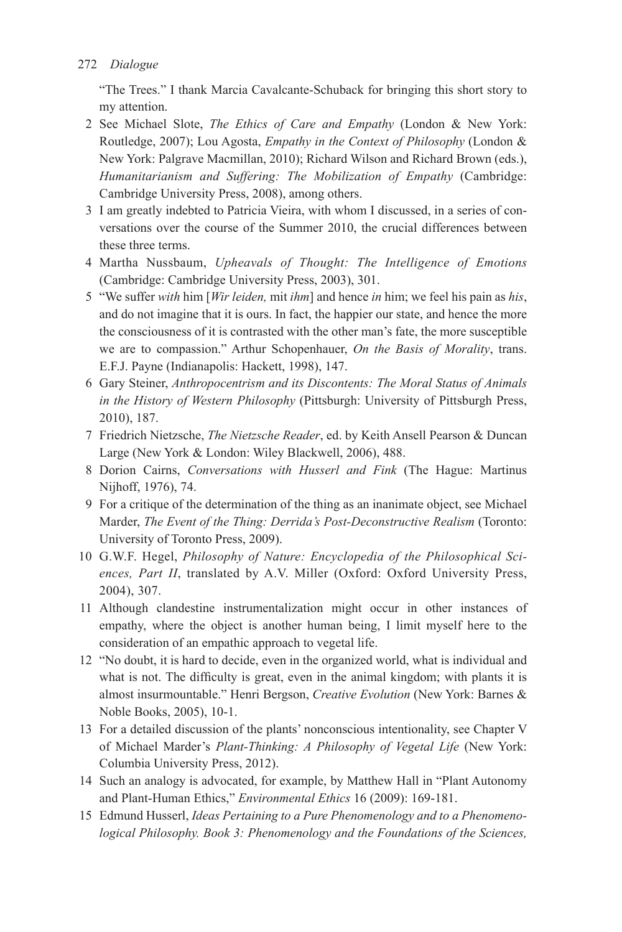#### 272 *Dialogue*

"The Trees." I thank Marcia Cavalcante-Schuback for bringing this short story to my attention.

- 2 See Michael Slote, *The Ethics of Care and Empathy* (London & New York: Routledge, 2007); Lou Agosta, *Empathy in the Context of Philosophy* (London & New York: Palgrave Macmillan, 2010); Richard Wilson and Richard Brown (eds.), *Humanitarianism and Suffering: The Mobilization of Empathy* (Cambridge: Cambridge University Press, 2008), among others.
- 3 I am greatly indebted to Patricia Vieira, with whom I discussed, in a series of conversations over the course of the Summer 2010, the crucial differences between these three terms.
- 4 Martha Nussbaum, *Upheavals of Thought: The Intelligence of Emotions* (Cambridge: Cambridge University Press, 2003), 301.
- 5 "We suffer *with* him [ *Wir leiden,* mit *ihm* ] and hence *in* him; we feel his pain as *his* , and do not imagine that it is ours. In fact, the happier our state, and hence the more the consciousness of it is contrasted with the other man's fate, the more susceptible we are to compassion." Arthur Schopenhauer, *On the Basis of Morality*, trans. E.F.J. Payne (Indianapolis: Hackett, 1998), 147.
- 6 Gary Steiner, *Anthropocentrism and its Discontents: The Moral Status of Animals in the History of Western Philosophy* (Pittsburgh: University of Pittsburgh Press, 2010), 187.
- 7 Friedrich Nietzsche, *The Nietzsche Reader* , ed. by Keith Ansell Pearson & Duncan Large (New York & London: Wiley Blackwell, 2006), 488.
- 8 Dorion Cairns, *Conversations with Husserl and Fink* (The Hague: Martinus Nijhoff, 1976), 74.
- 9 For a critique of the determination of the thing as an inanimate object, see Michael Marder, *The Event of the Thing: Derrida's Post-Deconstructive Realism* (Toronto: University of Toronto Press, 2009).
- 10 G.W.F. Hegel, *Philosophy of Nature: Encyclopedia of the Philosophical Sci*ences, Part II, translated by A.V. Miller (Oxford: Oxford University Press, 2004), 307.
- 11 Although clandestine instrumentalization might occur in other instances of empathy, where the object is another human being, I limit myself here to the consideration of an empathic approach to vegetal life.
- 12 "No doubt, it is hard to decide, even in the organized world, what is individual and what is not. The difficulty is great, even in the animal kingdom; with plants it is almost insurmountable." Henri Bergson, *Creative Evolution* (New York: Barnes & Noble Books, 2005), 10-1.
- 13 For a detailed discussion of the plants' nonconscious intentionality, see Chapter V of Michael Marder's *Plant-Thinking: A Philosophy of Vegetal Life* (New York: Columbia University Press, 2012).
- 14 Such an analogy is advocated, for example, by Matthew Hall in "Plant Autonomy and Plant-Human Ethics," *Environmental Ethics* 16 (2009): 169-181.
- 15 Edmund Husserl, *Ideas Pertaining to a Pure Phenomenology and to a Phenomenological Philosophy. Book 3: Phenomenology and the Foundations of the Sciences,*